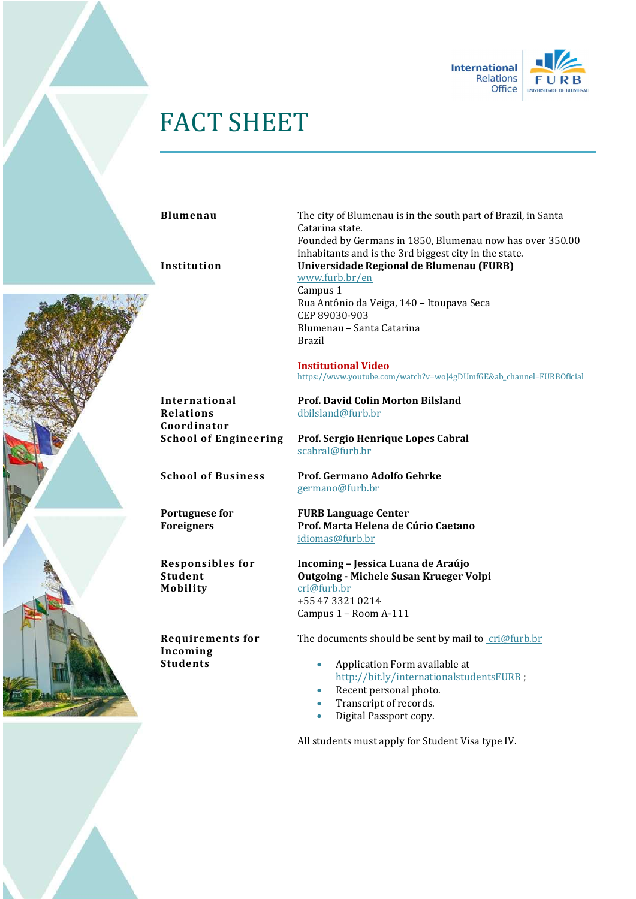

## FACT SHEET

Blumenau The city of Blumenau is in the south part of Brazil, in Santa Catarina state. Founded by Germans in 1850, Blumenau now has over 350.00 inhabitants and is the 3rd biggest city in the state. Institution Universidade Regional de Blumenau (FURB) www.furb.br/en Campus 1 Rua Antônio da Veiga, 140 – Itoupava Seca CEP 89030-903 Blumenau – Santa Catarina Brazil

> Institutional Video https://www.youtube.com/watch?v=woJ4gDUmfGE&ab\_channel=FURBOficial

International Relations Coordinator

Portuguese for Foreigners

Responsibles for Student Mobility

Requirements for Incoming **Students** 

Prof. David Colin Morton Bilsland dbilsland@furb.br

School of Engineering Prof. Sergio Henrique Lopes Cabral scabral@furb.br

School of Business Prof. Germano Adolfo Gehrke germano@furb.br

> FURB Language Center Prof. Marta Helena de Cúrio Caetano idiomas@furb.br

Incoming – Jessica Luana de Araújo Outgoing - Michele Susan Krueger Volpi cri@furb.br +55 47 3321 0214 Campus 1 – Room A-111

The documents should be sent by mail to cri@furb.br

- Application Form available at http://bit.ly/internationalstudentsFURB ;
- Recent personal photo.
- Transcript of records.
- Digital Passport copy.

All students must apply for Student Visa type IV.